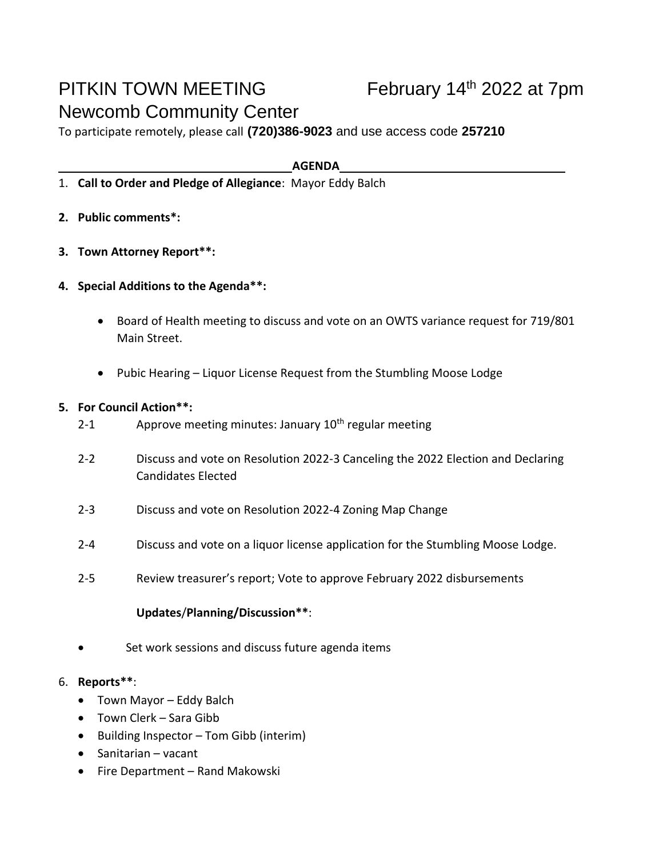# PITKIN TOWN MEETING Newcomb Community Center

To participate remotely, please call **(720)386-9023** and use access code **257210**

**AGENDA**

- 1. **Call to Order and Pledge of Allegiance**: Mayor Eddy Balch
- **2. Public comments\*:**
- **3. Town Attorney Report\*\*:**
- **4. Special Additions to the Agenda\*\*:**
	- Board of Health meeting to discuss and vote on an OWTS variance request for 719/801 Main Street.
	- Pubic Hearing Liquor License Request from the Stumbling Moose Lodge

#### **5. For Council Action\*\*:**

- 2-1 Approve meeting minutes: January  $10<sup>th</sup>$  regular meeting
- 2-2 Discuss and vote on Resolution 2022-3 Canceling the 2022 Election and Declaring Candidates Elected
- 2-3 Discuss and vote on Resolution 2022-4 Zoning Map Change
- 2-4 Discuss and vote on a liquor license application for the Stumbling Moose Lodge.
- 2-5 Review treasurer's report; Vote to approve February 2022 disbursements

## **Updates**/**Planning/Discussion\*\***:

• Set work sessions and discuss future agenda items

## 6. **Reports\*\***:

- Town Mayor Eddy Balch
- Town Clerk Sara Gibb
- Building Inspector Tom Gibb (interim)
- Sanitarian vacant
- Fire Department Rand Makowski